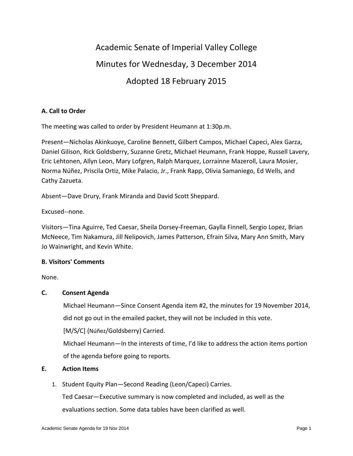# Academic Senate of Imperial Valley College Minutes for Wednesday, 3 December 2014 Adopted 18 February 2015

## **A. Call to Order**

The meeting was called to order by President Heumann at 1:30p.m.

Present—Nicholas Akinkuoye, Caroline Bennett, Gilbert Campos, Michael Capeci, Alex Garza, Daniel Gilison, Rick Goldsberry, Suzanne Gretz, Michael Heumann, Frank Hoppe, Russell Lavery, Eric Lehtonen, Allyn Leon, Mary Lofgren, Ralph Marquez, Lorrainne Mazeroll, Laura Mosier, Norma Núñez, Priscila Ortiz, Mike Palacio, Jr., Frank Rapp, Olivia Samaniego, Ed Wells, and Cathy Zazueta.

Absent—Dave Drury, Frank Miranda and David Scott Sheppard.

### Excused--none.

Visitors—Tina Aguirre, Ted Caesar, Sheila Dorsey-Freeman, Gaylla Finnell, Sergio Lopez, Brian McNeece, Tim Nakamura, Jill Nelipovich, James Patterson, Efrain Silva, Mary Ann Smith, Mary Jo Wainwright, and Kevin White.

### **B. Visitors' Comments**

None.

### **C. Consent Agenda**

Michael Heumann—Since Consent Agenda item #2, the minutes for 19 November 2014, did not go out in the emailed packet, they will not be included in this vote.

[M/S/C] (Núñez/Goldsberry) Carried.

Michael Heumann—In the interests of time, I'd like to address the action items portion of the agenda before going to reports.

### **E. Action Items**

1. Student Equity Plan—Second Reading (Leon/Capeci) Carries.

Ted Caesar—Executive summary is now completed and included, as well as the evaluations section. Some data tables have been clarified as well.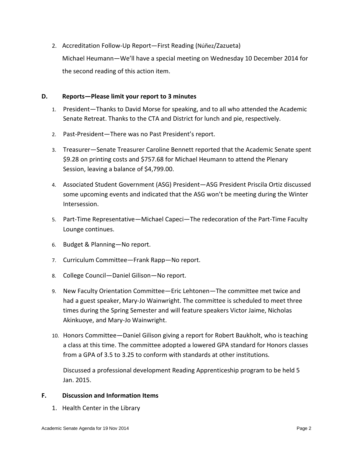2. Accreditation Follow-Up Report—First Reading (Núñez/Zazueta)

Michael Heumann—We'll have a special meeting on Wednesday 10 December 2014 for the second reading of this action item.

### **D. Reports—Please limit your report to 3 minutes**

- 1. President—Thanks to David Morse for speaking, and to all who attended the Academic Senate Retreat. Thanks to the CTA and District for lunch and pie, respectively.
- 2. Past-President—There was no Past President's report.
- 3. Treasurer—Senate Treasurer Caroline Bennett reported that the Academic Senate spent \$9.28 on printing costs and \$757.68 for Michael Heumann to attend the Plenary Session, leaving a balance of \$4,799.00.
- 4. Associated Student Government (ASG) President—ASG President Priscila Ortiz discussed some upcoming events and indicated that the ASG won't be meeting during the Winter Intersession.
- 5. Part-Time Representative—Michael Capeci—The redecoration of the Part-Time Faculty Lounge continues.
- 6. Budget & Planning—No report.
- 7. Curriculum Committee—Frank Rapp—No report.
- 8. College Council—Daniel Gilison—No report.
- 9. New Faculty Orientation Committee—Eric Lehtonen—The committee met twice and had a guest speaker, Mary-Jo Wainwright. The committee is scheduled to meet three times during the Spring Semester and will feature speakers Victor Jaime, Nicholas Akinkuoye, and Mary-Jo Wainwright.
- 10. Honors Committee—Daniel Gilison giving a report for Robert Baukholt, who is teaching a class at this time. The committee adopted a lowered GPA standard for Honors classes from a GPA of 3.5 to 3.25 to conform with standards at other institutions.

Discussed a professional development Reading Apprenticeship program to be held 5 Jan. 2015.

### **F. Discussion and Information Items**

1. Health Center in the Library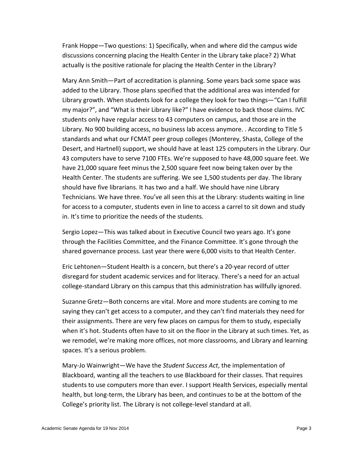Frank Hoppe—Two questions: 1) Specifically, when and where did the campus wide discussions concerning placing the Health Center in the Library take place? 2) What actually is the positive rationale for placing the Health Center in the Library?

Mary Ann Smith—Part of accreditation is planning. Some years back some space was added to the Library. Those plans specified that the additional area was intended for Library growth. When students look for a college they look for two things—"Can I fulfill my major?", and "What is their Library like?" I have evidence to back those claims. IVC students only have regular access to 43 computers on campus, and those are in the Library. No 900 building access, no business lab access anymore. . According to Title 5 standards and what our FCMAT peer group colleges (Monterey, Shasta, College of the Desert, and Hartnell) support, we should have at least 125 computers in the Library. Our 43 computers have to serve 7100 FTEs. We're supposed to have 48,000 square feet. We have 21,000 square feet minus the 2,500 square feet now being taken over by the Health Center. The students are suffering. We see 1,500 students per day. The library should have five librarians. It has two and a half. We should have nine Library Technicians. We have three. You've all seen this at the Library: students waiting in line for access to a computer, students even in line to access a carrel to sit down and study in. It's time to prioritize the needs of the students.

Sergio Lopez—This was talked about in Executive Council two years ago. It's gone through the Facilities Committee, and the Finance Committee. It's gone through the shared governance process. Last year there were 6,000 visits to that Health Center.

Eric Lehtonen—Student Health is a concern, but there's a 20-year record of utter disregard for student academic services and for literacy. There's a need for an actual college-standard Library on this campus that this administration has willfully ignored.

Suzanne Gretz—Both concerns are vital. More and more students are coming to me saying they can't get access to a computer, and they can't find materials they need for their assignments. There are very few places on campus for them to study, especially when it's hot. Students often have to sit on the floor in the Library at such times. Yet, as we remodel, we're making more offices, not more classrooms, and Library and learning spaces. It's a serious problem.

Mary-Jo Wainwright—We have the *Student Success Act*, the implementation of Blackboard, wanting all the teachers to use Blackboard for their classes. That requires students to use computers more than ever. I support Health Services, especially mental health, but long-term, the Library has been, and continues to be at the bottom of the College's priority list. The Library is not college-level standard at all.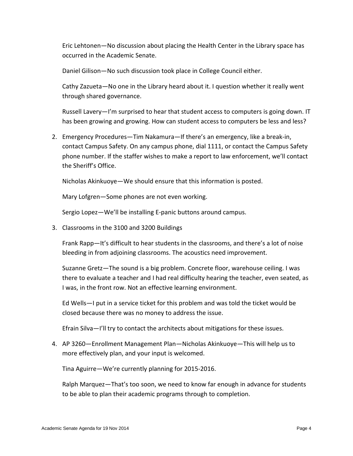Eric Lehtonen—No discussion about placing the Health Center in the Library space has occurred in the Academic Senate.

Daniel Gilison—No such discussion took place in College Council either.

Cathy Zazueta—No one in the Library heard about it. I question whether it really went through shared governance.

Russell Lavery—I'm surprised to hear that student access to computers is going down. IT has been growing and growing. How can student access to computers be less and less?

2. Emergency Procedures—Tim Nakamura—If there's an emergency, like a break-in, contact Campus Safety. On any campus phone, dial 1111, or contact the Campus Safety phone number. If the staffer wishes to make a report to law enforcement, we'll contact the Sheriff's Office.

Nicholas Akinkuoye—We should ensure that this information is posted.

Mary Lofgren—Some phones are not even working.

Sergio Lopez—We'll be installing E-panic buttons around campus.

3. Classrooms in the 3100 and 3200 Buildings

Frank Rapp—It's difficult to hear students in the classrooms, and there's a lot of noise bleeding in from adjoining classrooms. The acoustics need improvement.

Suzanne Gretz—The sound is a big problem. Concrete floor, warehouse ceiling. I was there to evaluate a teacher and I had real difficulty hearing the teacher, even seated, as I was, in the front row. Not an effective learning environment.

Ed Wells—I put in a service ticket for this problem and was told the ticket would be closed because there was no money to address the issue.

Efrain Silva—I'll try to contact the architects about mitigations for these issues.

4. AP 3260—Enrollment Management Plan—Nicholas Akinkuoye—This will help us to more effectively plan, and your input is welcomed.

Tina Aguirre—We're currently planning for 2015-2016.

Ralph Marquez—That's too soon, we need to know far enough in advance for students to be able to plan their academic programs through to completion.